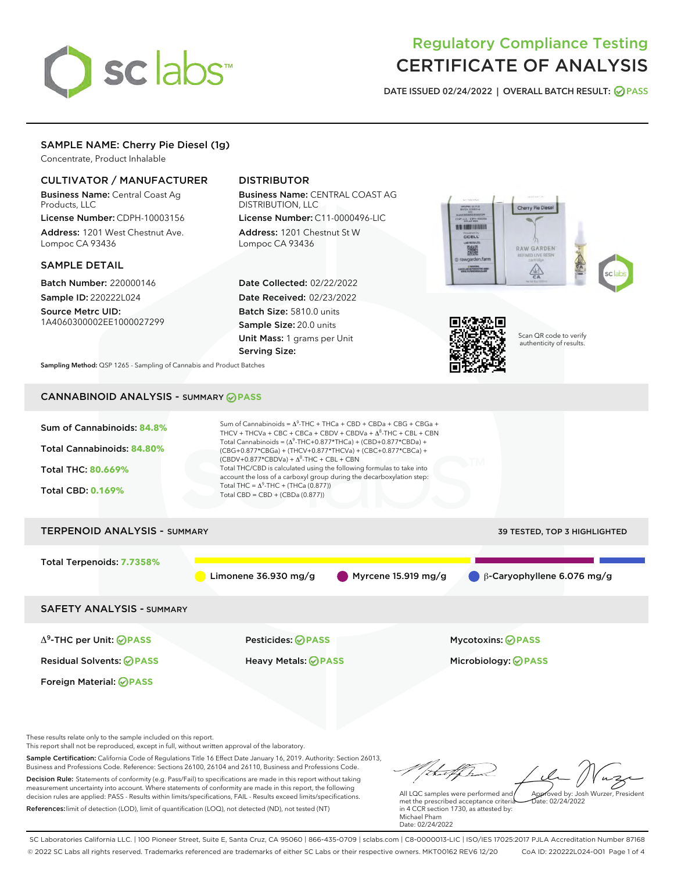# sclabs<sup>\*</sup>

# Regulatory Compliance Testing CERTIFICATE OF ANALYSIS

DATE ISSUED 02/24/2022 | OVERALL BATCH RESULT: @ PASS

# SAMPLE NAME: Cherry Pie Diesel (1g)

Concentrate, Product Inhalable

# CULTIVATOR / MANUFACTURER

Business Name: Central Coast Ag Products, LLC License Number: CDPH-10003156

Address: 1201 West Chestnut Ave. Lompoc CA 93436

#### SAMPLE DETAIL

Batch Number: 220000146 Sample ID: 220222L024

Source Metrc UID: 1A4060300002EE1000027299

# DISTRIBUTOR

Business Name: CENTRAL COAST AG DISTRIBUTION, LLC

License Number: C11-0000496-LIC Address: 1201 Chestnut St W Lompoc CA 93436

Date Collected: 02/22/2022 Date Received: 02/23/2022 Batch Size: 5810.0 units Sample Size: 20.0 units Unit Mass: 1 grams per Unit Serving Size:





Scan QR code to verify authenticity of results.

Sampling Method: QSP 1265 - Sampling of Cannabis and Product Batches

# CANNABINOID ANALYSIS - SUMMARY **PASS**



This report shall not be reproduced, except in full, without written approval of the laboratory.

Sample Certification: California Code of Regulations Title 16 Effect Date January 16, 2019. Authority: Section 26013, Business and Professions Code. Reference: Sections 26100, 26104 and 26110, Business and Professions Code. Decision Rule: Statements of conformity (e.g. Pass/Fail) to specifications are made in this report without taking measurement uncertainty into account. Where statements of conformity are made in this report, the following decision rules are applied: PASS - Results within limits/specifications, FAIL - Results exceed limits/specifications.

References:limit of detection (LOD), limit of quantification (LOQ), not detected (ND), not tested (NT)

tuff ha Approved by: Josh Wurzer, President

 $\frac{1}{2}$  02/24/2022

All LQC samples were performed and met the prescribed acceptance criteria in 4 CCR section 1730, as attested by: Michael Pham Date: 02/24/2022

SC Laboratories California LLC. | 100 Pioneer Street, Suite E, Santa Cruz, CA 95060 | 866-435-0709 | sclabs.com | C8-0000013-LIC | ISO/IES 17025:2017 PJLA Accreditation Number 87168 © 2022 SC Labs all rights reserved. Trademarks referenced are trademarks of either SC Labs or their respective owners. MKT00162 REV6 12/20 CoA ID: 220222L024-001 Page 1 of 4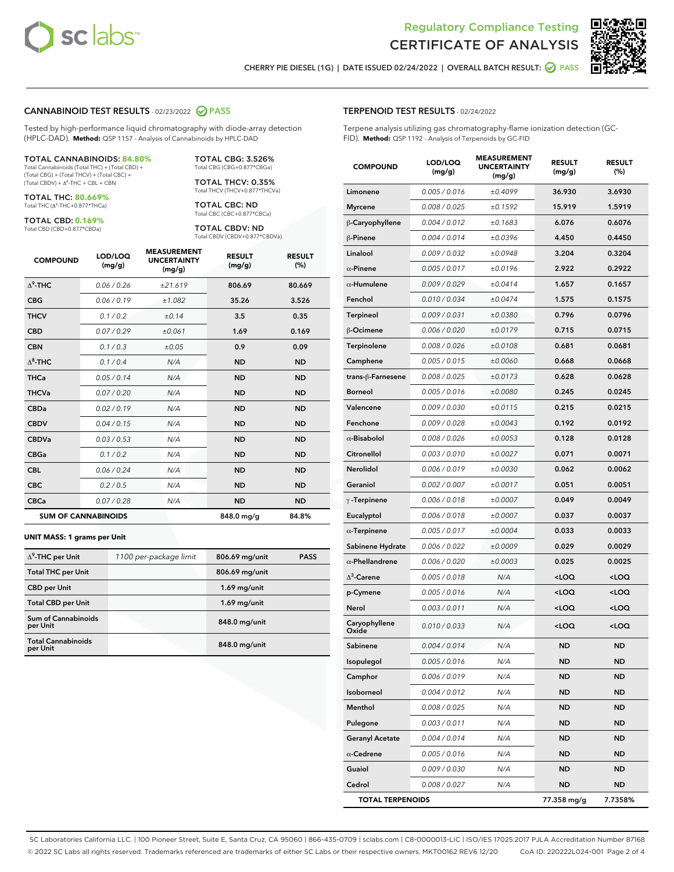



CHERRY PIE DIESEL (1G) | DATE ISSUED 02/24/2022 | OVERALL BATCH RESULT: **○** PASS

#### CANNABINOID TEST RESULTS - 02/23/2022 2 PASS

Tested by high-performance liquid chromatography with diode-array detection (HPLC-DAD). **Method:** QSP 1157 - Analysis of Cannabinoids by HPLC-DAD

#### TOTAL CANNABINOIDS: **84.80%**

Total Cannabinoids (Total THC) + (Total CBD) + (Total CBG) + (Total THCV) + (Total CBC) +  $(Total CBDV) +  $\Delta^8$ -THC + CBL + CBN$ 

TOTAL THC: **80.669%** Total THC (Δ<sup>9</sup> -THC+0.877\*THCa)

TOTAL CBD: **0.169%**

Total CBD (CBD+0.877\*CBDa)

TOTAL CBG: 3.526% Total CBG (CBG+0.877\*CBGa)

TOTAL THCV: 0.35% Total THCV (THCV+0.877\*THCVa)

TOTAL CBC: ND Total CBC (CBC+0.877\*CBCa)

TOTAL CBDV: ND Total CBDV (CBDV+0.877\*CBDVa)

| <b>COMPOUND</b>            | LOD/LOQ<br>(mg/g) | <b>MEASUREMENT</b><br><b>UNCERTAINTY</b><br>(mg/g) | <b>RESULT</b><br>(mg/g) | <b>RESULT</b><br>(%) |
|----------------------------|-------------------|----------------------------------------------------|-------------------------|----------------------|
| $\Delta^9$ -THC            | 0.06/0.26         | ±21.619                                            | 806.69                  | 80.669               |
| <b>CBG</b>                 | 0.06/0.19         | ±1.082                                             | 35.26                   | 3.526                |
| <b>THCV</b>                | 0.1/0.2           | ±0.14                                              | 3.5                     | 0.35                 |
| <b>CBD</b>                 | 0.07/0.29         | ±0.061                                             | 1.69                    | 0.169                |
| <b>CBN</b>                 | 0.1 / 0.3         | ±0.05                                              | 0.9                     | 0.09                 |
| $\Delta^8$ -THC            | 0.1 / 0.4         | N/A                                                | <b>ND</b>               | <b>ND</b>            |
| <b>THCa</b>                | 0.05/0.14         | N/A                                                | <b>ND</b>               | <b>ND</b>            |
| <b>THCVa</b>               | 0.07/0.20         | N/A                                                | <b>ND</b>               | <b>ND</b>            |
| <b>CBDa</b>                | 0.02/0.19         | N/A                                                | <b>ND</b>               | <b>ND</b>            |
| <b>CBDV</b>                | 0.04 / 0.15       | N/A                                                | <b>ND</b>               | <b>ND</b>            |
| <b>CBDVa</b>               | 0.03 / 0.53       | N/A                                                | <b>ND</b>               | <b>ND</b>            |
| <b>CBGa</b>                | 0.1/0.2           | N/A                                                | <b>ND</b>               | <b>ND</b>            |
| <b>CBL</b>                 | 0.06 / 0.24       | N/A                                                | <b>ND</b>               | <b>ND</b>            |
| <b>CBC</b>                 | 0.2 / 0.5         | N/A                                                | <b>ND</b>               | <b>ND</b>            |
| <b>CBCa</b>                | 0.07/0.28         | N/A                                                | <b>ND</b>               | <b>ND</b>            |
| <b>SUM OF CANNABINOIDS</b> |                   |                                                    | 848.0 mg/g              | 84.8%                |

#### **UNIT MASS: 1 grams per Unit**

| $\Delta^9$ -THC per Unit               | 1100 per-package limit | 806.69 mg/unit | <b>PASS</b> |
|----------------------------------------|------------------------|----------------|-------------|
| <b>Total THC per Unit</b>              |                        | 806.69 mg/unit |             |
| <b>CBD per Unit</b>                    |                        | $1.69$ mg/unit |             |
| <b>Total CBD per Unit</b>              |                        | $1.69$ mg/unit |             |
| <b>Sum of Cannabinoids</b><br>per Unit |                        | 848.0 mg/unit  |             |
| <b>Total Cannabinoids</b><br>per Unit  |                        | 848.0 mg/unit  |             |

| <b>COMPOUND</b>         | LOD/LOQ<br>(mg/g) | <b>MEASUREMENT</b><br><b>UNCERTAINTY</b><br>(mq/q) | <b>RESULT</b><br>(mg/g)                         | <b>RESULT</b><br>(%) |
|-------------------------|-------------------|----------------------------------------------------|-------------------------------------------------|----------------------|
| Limonene                | 0.005 / 0.016     | ±0.4099                                            | 36.930                                          | 3.6930               |
| <b>Myrcene</b>          | 0.008 / 0.025     | ±0.1592                                            | 15.919                                          | 1.5919               |
| β-Caryophyllene         | 0.004 / 0.012     | ±0.1683                                            | 6.076                                           | 0.6076               |
| β-Pinene                | 0.004 / 0.014     | ±0.0396                                            | 4.450                                           | 0.4450               |
| Linalool                | 0.009 / 0.032     | ±0.0948                                            | 3.204                                           | 0.3204               |
| $\alpha$ -Pinene        | 0.005 / 0.017     | ±0.0196                                            | 2.922                                           | 0.2922               |
| $\alpha$ -Humulene      | 0.009/0.029       | ±0.0414                                            | 1.657                                           | 0.1657               |
| Fenchol                 | 0.010 / 0.034     | ±0.0474                                            | 1.575                                           | 0.1575               |
| Terpineol               | 0.009 / 0.031     | ±0.0380                                            | 0.796                                           | 0.0796               |
| β-Ocimene               | 0.006 / 0.020     | ±0.0179                                            | 0.715                                           | 0.0715               |
| Terpinolene             | 0.008 / 0.026     | ±0.0108                                            | 0.681                                           | 0.0681               |
| Camphene                | 0.005 / 0.015     | ±0.0060                                            | 0.668                                           | 0.0668               |
| trans-ß-Farnesene       | 0.008 / 0.025     | ±0.0173                                            | 0.628                                           | 0.0628               |
| <b>Borneol</b>          | 0.005 / 0.016     | ±0.0080                                            | 0.245                                           | 0.0245               |
| Valencene               | 0.009 / 0.030     | ±0.0115                                            | 0.215                                           | 0.0215               |
| Fenchone                | 0.009 / 0.028     | ±0.0043                                            | 0.192                                           | 0.0192               |
| $\alpha$ -Bisabolol     | 0.008 / 0.026     | ±0.0053                                            | 0.128                                           | 0.0128               |
| Citronellol             | 0.003 / 0.010     | ±0.0027                                            | 0.071                                           | 0.0071               |
| Nerolidol               | 0.006 / 0.019     | ±0.0030                                            | 0.062                                           | 0.0062               |
| Geraniol                | 0.002 / 0.007     | ±0.0017                                            | 0.051                                           | 0.0051               |
| $\gamma$ -Terpinene     | 0.006 / 0.018     | ±0.0007                                            | 0.049                                           | 0.0049               |
| Eucalyptol              | 0.006 / 0.018     | ±0.0007                                            | 0.037                                           | 0.0037               |
| $\alpha$ -Terpinene     | 0.005 / 0.017     | ±0.0004                                            | 0.033                                           | 0.0033               |
| Sabinene Hydrate        | 0.006 / 0.022     | ±0.0009                                            | 0.029                                           | 0.0029               |
| $\alpha$ -Phellandrene  | 0.006 / 0.020     | ±0.0003                                            | 0.025                                           | 0.0025               |
| $\Delta^3$ -Carene      | 0.005 / 0.018     | N/A                                                | <loq< th=""><th><loq< th=""></loq<></th></loq<> | <loq< th=""></loq<>  |
| p-Cymene                | 0.005 / 0.016     | N/A                                                | <loq< th=""><th><loq< th=""></loq<></th></loq<> | <loq< th=""></loq<>  |
| Nerol                   | 0.003 / 0.011     | N/A                                                | $<$ LOQ                                         | $<$ LOQ              |
| Caryophyllene<br>Oxide  | 0.010 / 0.033     | N/A                                                | <loq< th=""><th><loq< th=""></loq<></th></loq<> | <loq< th=""></loq<>  |
| Sabinene                | 0.004 / 0.014     | N/A                                                | <b>ND</b>                                       | ND                   |
| Isopulegol              | 0.005 / 0.016     | N/A                                                | ND                                              | ND                   |
| Camphor                 | 0.006 / 0.019     | N/A                                                | <b>ND</b>                                       | ND                   |
| Isoborneol              | 0.004 / 0.012     | N/A                                                | ND                                              | ND                   |
| Menthol                 | 0.008 / 0.025     | N/A                                                | <b>ND</b>                                       | ND                   |
| Pulegone                | 0.003 / 0.011     | N/A                                                | <b>ND</b>                                       | ND                   |
| <b>Geranyl Acetate</b>  | 0.004 / 0.014     | N/A                                                | ND                                              | ND                   |
| $\alpha$ -Cedrene       | 0.005 / 0.016     | N/A                                                | ND                                              | ND                   |
| Guaiol                  | 0.009 / 0.030     | N/A                                                | ND                                              | ND                   |
| Cedrol                  | 0.008 / 0.027     | N/A                                                | ND                                              | ND                   |
| <b>TOTAL TERPENOIDS</b> |                   |                                                    | 77.358 mg/g                                     | 7.7358%              |

SC Laboratories California LLC. | 100 Pioneer Street, Suite E, Santa Cruz, CA 95060 | 866-435-0709 | sclabs.com | C8-0000013-LIC | ISO/IES 17025:2017 PJLA Accreditation Number 87168 © 2022 SC Labs all rights reserved. Trademarks referenced are trademarks of either SC Labs or their respective owners. MKT00162 REV6 12/20 CoA ID: 220222L024-001 Page 2 of 4

# TERPENOID TEST RESULTS - 02/24/2022

Terpene analysis utilizing gas chromatography-flame ionization detection (GC-FID). **Method:** QSP 1192 - Analysis of Terpenoids by GC-FID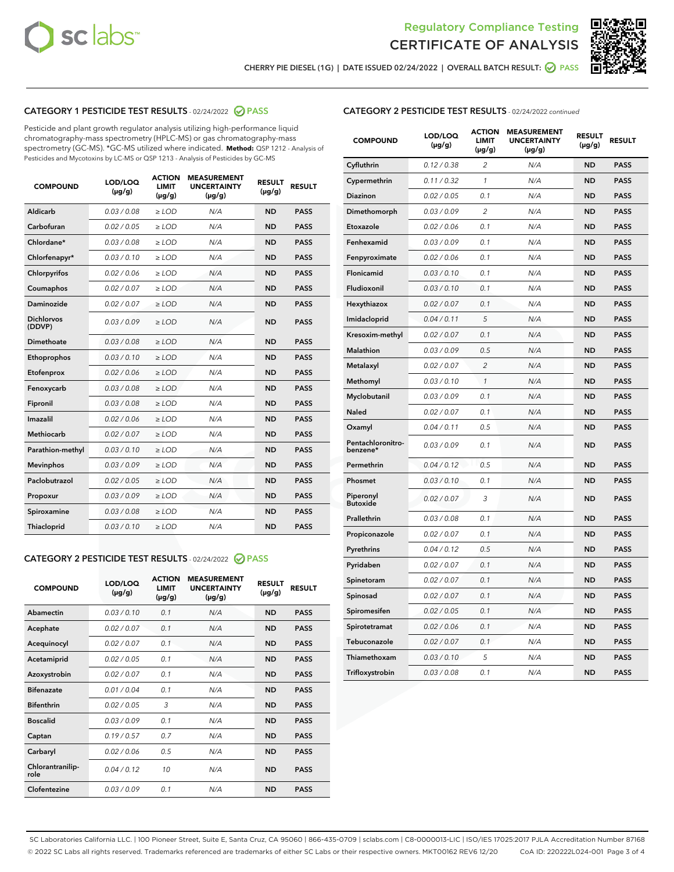



CHERRY PIE DIESEL (1G) | DATE ISSUED 02/24/2022 | OVERALL BATCH RESULT: ☑ PASS

# CATEGORY 1 PESTICIDE TEST RESULTS - 02/24/2022 2 PASS

Pesticide and plant growth regulator analysis utilizing high-performance liquid chromatography-mass spectrometry (HPLC-MS) or gas chromatography-mass spectrometry (GC-MS). \*GC-MS utilized where indicated. **Method:** QSP 1212 - Analysis of Pesticides and Mycotoxins by LC-MS or QSP 1213 - Analysis of Pesticides by GC-MS

| <b>COMPOUND</b>             | LOD/LOQ<br>$(\mu g/g)$ | <b>LIMIT</b><br>$(\mu g/g)$ | <b>UNCERTAINTY</b><br>$(\mu g/g)$ | <b>RESULT</b><br>$(\mu g/g)$ | <b>RESULT</b> |
|-----------------------------|------------------------|-----------------------------|-----------------------------------|------------------------------|---------------|
| <b>Aldicarb</b>             | 0.03 / 0.08            | $\geq$ LOD                  | N/A                               | <b>ND</b>                    | <b>PASS</b>   |
| Carbofuran                  | 0.02 / 0.05            | $\ge$ LOD                   | N/A                               | <b>ND</b>                    | <b>PASS</b>   |
| Chlordane*                  | 0.03/0.08              | $>$ LOD                     | N/A                               | <b>ND</b>                    | <b>PASS</b>   |
| Chlorfenapyr*               | 0.03/0.10              | $>$ LOD                     | N/A                               | <b>ND</b>                    | <b>PASS</b>   |
| Chlorpyrifos                | 0.02/0.06              | $\ge$ LOD                   | N/A                               | <b>ND</b>                    | <b>PASS</b>   |
| Coumaphos                   | 0.02 / 0.07            | $\ge$ LOD                   | N/A                               | <b>ND</b>                    | <b>PASS</b>   |
| <b>Daminozide</b>           | 0.02 / 0.07            | $\ge$ LOD                   | N/A                               | <b>ND</b>                    | <b>PASS</b>   |
| <b>Dichlorvos</b><br>(DDVP) | 0.03/0.09              | $\ge$ LOD                   | N/A                               | <b>ND</b>                    | <b>PASS</b>   |
| Dimethoate                  | 0.03/0.08              | $>$ LOD                     | N/A                               | <b>ND</b>                    | <b>PASS</b>   |
| Ethoprophos                 | 0.03/0.10              | $\ge$ LOD                   | N/A                               | <b>ND</b>                    | <b>PASS</b>   |
| Etofenprox                  | 0.02 / 0.06            | $>$ LOD                     | N/A                               | <b>ND</b>                    | <b>PASS</b>   |
| Fenoxycarb                  | 0.03 / 0.08            | $\ge$ LOD                   | N/A                               | <b>ND</b>                    | <b>PASS</b>   |
| Fipronil                    | 0.03 / 0.08            | $\ge$ LOD                   | N/A                               | <b>ND</b>                    | <b>PASS</b>   |
| Imazalil                    | 0.02 / 0.06            | $\ge$ LOD                   | N/A                               | <b>ND</b>                    | <b>PASS</b>   |
| <b>Methiocarb</b>           | 0.02 / 0.07            | $\ge$ LOD                   | N/A                               | <b>ND</b>                    | <b>PASS</b>   |
| Parathion-methyl            | 0.03/0.10              | $\ge$ LOD                   | N/A                               | <b>ND</b>                    | <b>PASS</b>   |
| <b>Mevinphos</b>            | 0.03/0.09              | $\ge$ LOD                   | N/A                               | <b>ND</b>                    | <b>PASS</b>   |
| Paclobutrazol               | 0.02 / 0.05            | $\ge$ LOD                   | N/A                               | <b>ND</b>                    | <b>PASS</b>   |
| Propoxur                    | 0.03/0.09              | $\ge$ LOD                   | N/A                               | <b>ND</b>                    | <b>PASS</b>   |
| Spiroxamine                 | 0.03 / 0.08            | $\ge$ LOD                   | N/A                               | <b>ND</b>                    | <b>PASS</b>   |
| Thiacloprid                 | 0.03/0.10              | $>$ LOD                     | N/A                               | <b>ND</b>                    | <b>PASS</b>   |

# CATEGORY 2 PESTICIDE TEST RESULTS - 02/24/2022 @ PASS

| <b>COMPOUND</b>          | LOD/LOO<br>$(\mu g/g)$ | <b>ACTION</b><br><b>LIMIT</b><br>$(\mu g/g)$ | <b>MEASUREMENT</b><br><b>UNCERTAINTY</b><br>$(\mu g/g)$ | <b>RESULT</b><br>$(\mu g/g)$ | <b>RESULT</b> |
|--------------------------|------------------------|----------------------------------------------|---------------------------------------------------------|------------------------------|---------------|
| Abamectin                | 0.03/0.10              | 0.1                                          | N/A                                                     | <b>ND</b>                    | <b>PASS</b>   |
| Acephate                 | 0.02/0.07              | 0.1                                          | N/A                                                     | <b>ND</b>                    | <b>PASS</b>   |
| Acequinocyl              | 0.02/0.07              | 0.1                                          | N/A                                                     | <b>ND</b>                    | <b>PASS</b>   |
| Acetamiprid              | 0.02/0.05              | 0.1                                          | N/A                                                     | <b>ND</b>                    | <b>PASS</b>   |
| Azoxystrobin             | 0.02/0.07              | 0.1                                          | N/A                                                     | <b>ND</b>                    | <b>PASS</b>   |
| <b>Bifenazate</b>        | 0.01/0.04              | 0.1                                          | N/A                                                     | <b>ND</b>                    | <b>PASS</b>   |
| <b>Bifenthrin</b>        | 0.02/0.05              | 3                                            | N/A                                                     | <b>ND</b>                    | <b>PASS</b>   |
| <b>Boscalid</b>          | 0.03/0.09              | 0.1                                          | N/A                                                     | <b>ND</b>                    | <b>PASS</b>   |
| Captan                   | 0.19/0.57              | 0.7                                          | N/A                                                     | <b>ND</b>                    | <b>PASS</b>   |
| Carbaryl                 | 0.02/0.06              | 0.5                                          | N/A                                                     | <b>ND</b>                    | <b>PASS</b>   |
| Chlorantranilip-<br>role | 0.04/0.12              | 10                                           | N/A                                                     | <b>ND</b>                    | <b>PASS</b>   |
| Clofentezine             | 0.03/0.09              | 0.1                                          | N/A                                                     | <b>ND</b>                    | <b>PASS</b>   |

### CATEGORY 2 PESTICIDE TEST RESULTS - 02/24/2022 continued

| <b>COMPOUND</b>               | LOD/LOQ<br>$(\mu g/g)$ | <b>ACTION</b><br><b>LIMIT</b><br>$(\mu g/g)$ | <b>MEASUREMENT</b><br><b>UNCERTAINTY</b><br>(µg/g) | <b>RESULT</b><br>(µg/g) | <b>RESULT</b> |
|-------------------------------|------------------------|----------------------------------------------|----------------------------------------------------|-------------------------|---------------|
| Cyfluthrin                    | 0.12 / 0.38            | $\overline{2}$                               | N/A                                                | <b>ND</b>               | <b>PASS</b>   |
| Cypermethrin                  | 0.11 / 0.32            | 1                                            | N/A                                                | <b>ND</b>               | <b>PASS</b>   |
| Diazinon                      | 0.02 / 0.05            | 0.1                                          | N/A                                                | <b>ND</b>               | <b>PASS</b>   |
| Dimethomorph                  | 0.03 / 0.09            | $\overline{\mathcal{L}}$                     | N/A                                                | ND                      | <b>PASS</b>   |
| Etoxazole                     | 0.02 / 0.06            | 0.1                                          | N/A                                                | <b>ND</b>               | <b>PASS</b>   |
| Fenhexamid                    | 0.03 / 0.09            | 0.1                                          | N/A                                                | <b>ND</b>               | <b>PASS</b>   |
| Fenpyroximate                 | 0.02 / 0.06            | 0.1                                          | N/A                                                | <b>ND</b>               | <b>PASS</b>   |
| Flonicamid                    | 0.03 / 0.10            | 0.1                                          | N/A                                                | <b>ND</b>               | <b>PASS</b>   |
| Fludioxonil                   | 0.03 / 0.10            | 0.1                                          | N/A                                                | <b>ND</b>               | <b>PASS</b>   |
| Hexythiazox                   | 0.02 / 0.07            | 0.1                                          | N/A                                                | <b>ND</b>               | <b>PASS</b>   |
| Imidacloprid                  | 0.04 / 0.11            | 5                                            | N/A                                                | <b>ND</b>               | <b>PASS</b>   |
| Kresoxim-methyl               | 0.02 / 0.07            | 0.1                                          | N/A                                                | <b>ND</b>               | <b>PASS</b>   |
| Malathion                     | 0.03 / 0.09            | 0.5                                          | N/A                                                | <b>ND</b>               | <b>PASS</b>   |
| Metalaxyl                     | 0.02 / 0.07            | $\overline{c}$                               | N/A                                                | ND                      | <b>PASS</b>   |
| Methomyl                      | 0.03 / 0.10            | 1                                            | N/A                                                | <b>ND</b>               | <b>PASS</b>   |
| Myclobutanil                  | 0.03 / 0.09            | 0.1                                          | N/A                                                | ND                      | <b>PASS</b>   |
| Naled                         | 0.02 / 0.07            | 0.1                                          | N/A                                                | ND                      | PASS          |
| Oxamyl                        | 0.04/0.11              | 0.5                                          | N/A                                                | <b>ND</b>               | <b>PASS</b>   |
| Pentachloronitro-<br>benzene* | 0.03 / 0.09            | 0.1                                          | N/A                                                | ND                      | PASS          |
| Permethrin                    | 0.04 / 0.12            | 0.5                                          | N/A                                                | <b>ND</b>               | <b>PASS</b>   |
| Phosmet                       | 0.03 / 0.10            | 0.1                                          | N/A                                                | ND                      | PASS          |
| Piperonyl<br><b>Butoxide</b>  | 0.02 / 0.07            | 3                                            | N/A                                                | <b>ND</b>               | <b>PASS</b>   |
| Prallethrin                   | 0.03 / 0.08            | 0.1                                          | N/A                                                | <b>ND</b>               | <b>PASS</b>   |
| Propiconazole                 | 0.02 / 0.07            | 0.1                                          | N/A                                                | ND                      | <b>PASS</b>   |
| Pyrethrins                    | 0.04 / 0.12            | 0.5                                          | N/A                                                | ND                      | PASS          |
| Pyridaben                     | 0.02 / 0.07            | 0.1                                          | N/A                                                | <b>ND</b>               | <b>PASS</b>   |
| Spinetoram                    | 0.02 / 0.07            | 0.1                                          | N/A                                                | ND                      | PASS          |
| Spinosad                      | 0.02 / 0.07            | 0.1                                          | N/A                                                | <b>ND</b>               | PASS          |
| Spiromesifen                  | 0.02 / 0.05            | 0.1                                          | N/A                                                | <b>ND</b>               | <b>PASS</b>   |
| Spirotetramat                 | 0.02 / 0.06            | 0.1                                          | N/A                                                | ND                      | <b>PASS</b>   |
| Tebuconazole                  | 0.02 / 0.07            | 0.1                                          | N/A                                                | ND                      | <b>PASS</b>   |
| Thiamethoxam                  | 0.03 / 0.10            | 5                                            | N/A                                                | <b>ND</b>               | <b>PASS</b>   |
| Trifloxystrobin               | 0.03 / 0.08            | 0.1                                          | N/A                                                | <b>ND</b>               | <b>PASS</b>   |

SC Laboratories California LLC. | 100 Pioneer Street, Suite E, Santa Cruz, CA 95060 | 866-435-0709 | sclabs.com | C8-0000013-LIC | ISO/IES 17025:2017 PJLA Accreditation Number 87168 © 2022 SC Labs all rights reserved. Trademarks referenced are trademarks of either SC Labs or their respective owners. MKT00162 REV6 12/20 CoA ID: 220222L024-001 Page 3 of 4